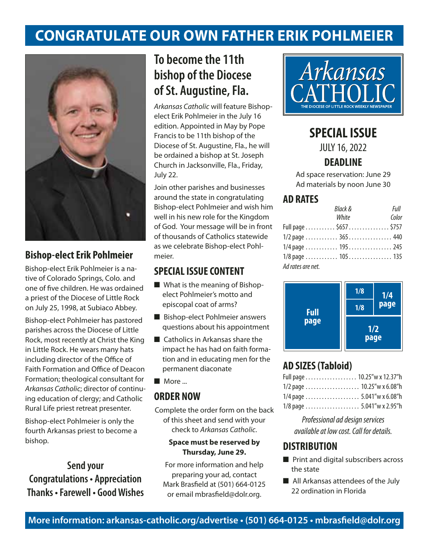# **Congratulate our own Father Erik Pohlmeier**



## **Bishop-elect Erik Pohlmeier**

Bishop-elect Erik Pohlmeier is a native of Colorado Springs, Colo. and one of five children. He was ordained a priest of the Diocese of Little Rock on July 25, 1998, at Subiaco Abbey.

Bishop-elect Pohlmeier has pastored parishes across the Diocese of Little Rock, most recently at Christ the King in Little Rock. He wears many hats including director of the Office of Faith Formation and Office of Deacon Formation; theological consultant for *Arkansas Catholic*; director of continuing education of clergy; and Catholic Rural Life priest retreat presenter.

Bishop-elect Pohlmeier is only the fourth Arkansas priest to become a bishop.

# **Send your Congratulations • Appreciation Thanks • Farewell • Good Wishes**

# **To become the 11th bishop of the Diocese of St. Augustine, Fla.**

*Arkansas Catholic* will feature Bishopelect Erik Pohlmeier in the July 16 edition. Appointed in May by Pope Francis to be 11th bishop of the Diocese of St. Augustine, Fla., he will be ordained a bishop at St. Joseph Church in Jacksonville, Fla., Friday, July 22.

Join other parishes and businesses around the state in congratulating Bishop-elect Pohlmeier and wish him well in his new role for the Kingdom of God. Your message will be in front of thousands of Catholics statewide as we celebrate Bishop-elect Pohlmeier.

### **SPECIAL ISSUE CONTENT**

- $\blacksquare$  What is the meaning of Bishopelect Pohlmeier's motto and episcopal coat of arms?
- $\blacksquare$  Bishop-elect Pohlmeier answers questions about his appointment
- $\blacksquare$  Catholics in Arkansas share the impact he has had on faith formation and in educating men for the permanent diaconate
- $\blacksquare$  More ...

## **ORDER NOW**

Complete the order form on the back of this sheet and send with your check to *Arkansas Catholic*.

#### **Space must be reserved by Thursday, June 29.**

For more information and help preparing your ad, contact Mark Brasfield at (501) 664-0125 or email mbrasfield@dolr.org.



# **SPECIAL ISSUE**

JULY 16, 2022

## **DEADLINE**

Ad space reservation: June 29 Ad materials by noon June 30

### **AD RATES**

|                   | <b>Black &amp;</b>    | Full  |
|-------------------|-----------------------|-------|
|                   | White                 | Color |
|                   | Full page \$657 \$757 |       |
|                   | 1/2 page 365 440      |       |
|                   | 1/4 page  195 245     |       |
|                   | 1/8 page 105 135      |       |
| Ad rates are net. |                       |       |



# **AD SIZES (Tabloid)**

| Full page 10.25"w x 12.37"h |  |
|-----------------------------|--|
|                             |  |
|                             |  |
| 1/8 page  5.041"w x 2.95"h  |  |

*Professional ad design services available at low cost. Call for details.*

## **DISTRIBUTION**

- $\blacksquare$  Print and digital subscribers across the state
- $\blacksquare$  All Arkansas attendees of the July 22 ordination in Florida